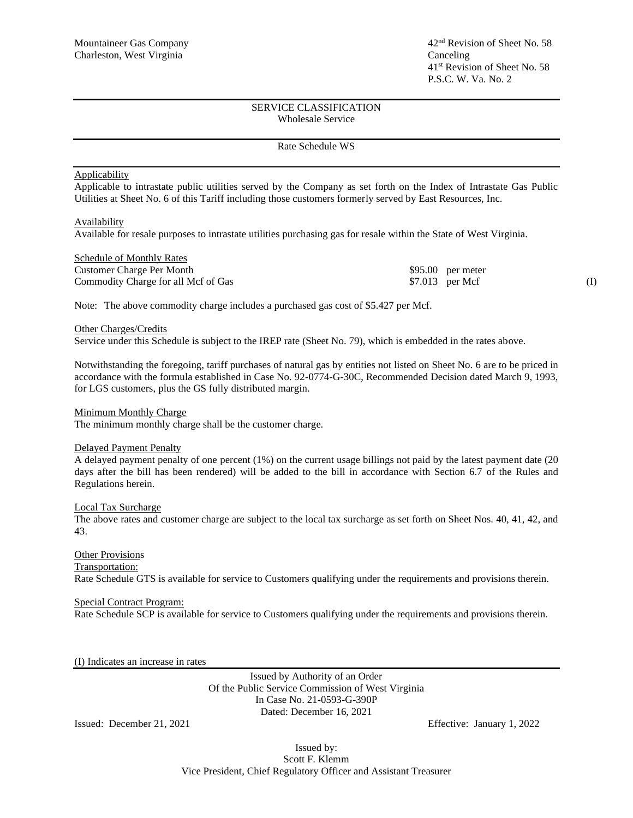### SERVICE CLASSIFICATION Wholesale Service

#### Rate Schedule WS

#### Applicability

Applicable to intrastate public utilities served by the Company as set forth on the Index of Intrastate Gas Public Utilities at Sheet No. 6 of this Tariff including those customers formerly served by East Resources, Inc.

#### **Availability**

Available for resale purposes to intrastate utilities purchasing gas for resale within the State of West Virginia.

| <b>Schedule of Monthly Rates</b>    |                    |  |
|-------------------------------------|--------------------|--|
| Customer Charge Per Month           | $$95.00$ per meter |  |
| Commodity Charge for all Mcf of Gas | $$7.013$ per Mcf   |  |

Note: The above commodity charge includes a purchased gas cost of \$5.427 per Mcf.

#### Other Charges/Credits

Service under this Schedule is subject to the IREP rate (Sheet No. 79), which is embedded in the rates above.

Notwithstanding the foregoing, tariff purchases of natural gas by entities not listed on Sheet No. 6 are to be priced in accordance with the formula established in Case No. 92-0774-G-30C, Recommended Decision dated March 9, 1993, for LGS customers, plus the GS fully distributed margin.

#### Minimum Monthly Charge

The minimum monthly charge shall be the customer charge.

### Delayed Payment Penalty

A delayed payment penalty of one percent (1%) on the current usage billings not paid by the latest payment date (20 days after the bill has been rendered) will be added to the bill in accordance with Section 6.7 of the Rules and Regulations herein.

#### Local Tax Surcharge

The above rates and customer charge are subject to the local tax surcharge as set forth on Sheet Nos. 40, 41, 42, and 43.

# Other Provisions

Transportation:

Rate Schedule GTS is available for service to Customers qualifying under the requirements and provisions therein.

## Special Contract Program:

Rate Schedule SCP is available for service to Customers qualifying under the requirements and provisions therein.

(I) Indicates an increase in rates

Issued by Authority of an Order Of the Public Service Commission of West Virginia In Case No. 21-0593-G-390P Dated: December 16, 2021

Issued: December 21, 2021 Effective: January 1, 2022

Issued by: Scott F. Klemm Vice President, Chief Regulatory Officer and Assistant Treasurer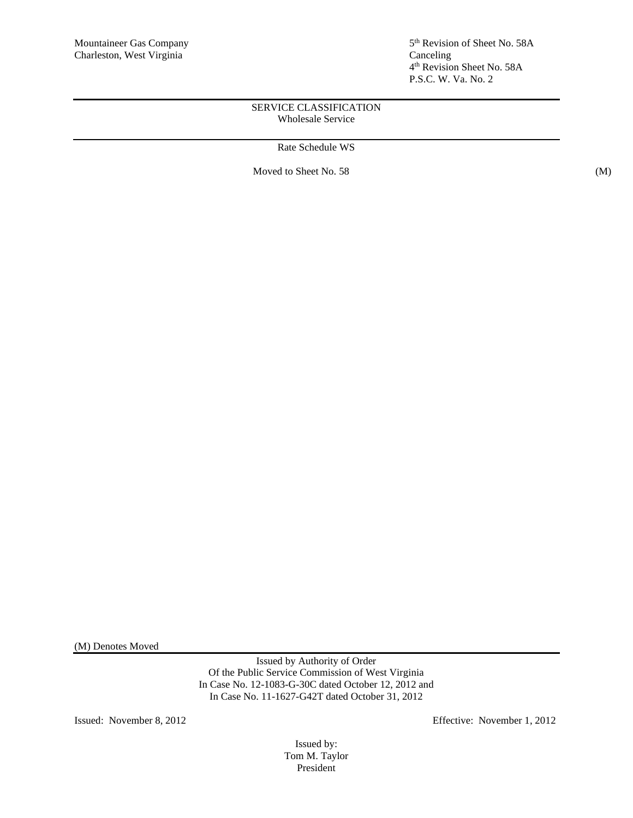5<sup>th</sup> Revision of Sheet No. 58A 4 th Revision Sheet No. 58A P.S.C. W. Va. No. 2

# SERVICE CLASSIFICATION Wholesale Service

Rate Schedule WS

Moved to Sheet No. 58 (M)

(M) Denotes Moved

Issued by Authority of Order Of the Public Service Commission of West Virginia In Case No. 12-1083-G-30C dated October 12, 2012 and In Case No. 11-1627-G42T dated October 31, 2012

Issued: November 8, 2012 Effective: November 1, 2012

Issued by: Tom M. Taylor President